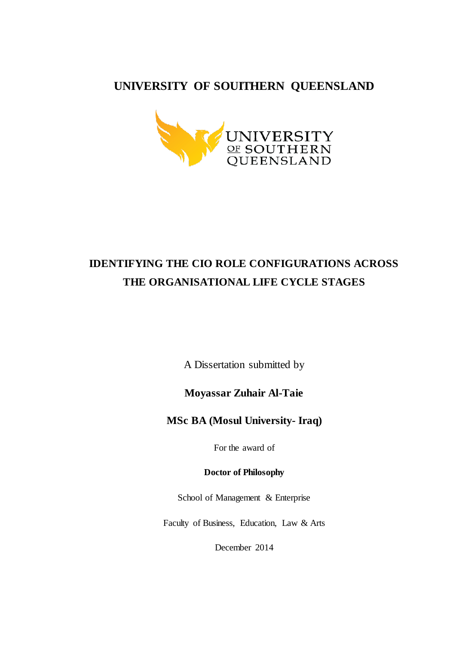#### **UNIVERSITY OF SOUITHERN QUEENSLAND**



## **IDENTIFYING THE CIO ROLE CONFIGURATIONS ACROSS THE ORGANISATIONAL LIFE CYCLE STAGES**

A Dissertation submitted by

**Moyassar Zuhair Al-Taie**

**MSc BA (Mosul University- Iraq)**

For the award of

**Doctor of Philosophy**

School of Management & Enterprise

Faculty of Business, Education, Law & Arts

December 2014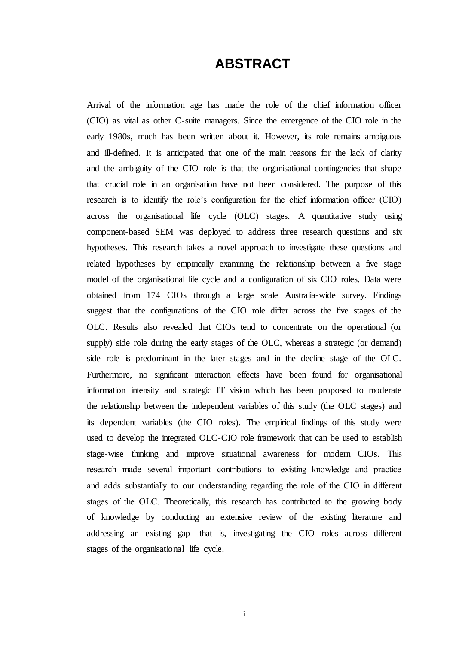#### **ABSTRACT**

<span id="page-1-0"></span>Arrival of the information age has made the role of the chief information officer (CIO) as vital as other C-suite managers. Since the emergence of the CIO role in the early 1980s, much has been written about it. However, its role remains ambiguous and ill-defined. It is anticipated that one of the main reasons for the lack of clarity and the ambiguity of the CIO role is that the organisational contingencies that shape that crucial role in an organisation have not been considered. The purpose of this research is to identify the role's configuration for the chief information officer (CIO) across the organisational life cycle (OLC) stages. A quantitative study using component-based SEM was deployed to address three research questions and six hypotheses. This research takes a novel approach to investigate these questions and related hypotheses by empirically examining the relationship between a five stage model of the organisational life cycle and a configuration of six CIO roles. Data were obtained from 174 CIOs through a large scale Australia-wide survey. Findings suggest that the configurations of the CIO role differ across the five stages of the OLC. Results also revealed that CIOs tend to concentrate on the operational (or supply) side role during the early stages of the OLC, whereas a strategic (or demand) side role is predominant in the later stages and in the decline stage of the OLC. Furthermore, no significant interaction effects have been found for organisational information intensity and strategic IT vision which has been proposed to moderate the relationship between the independent variables of this study (the OLC stages) and its dependent variables (the CIO roles). The empirical findings of this study were used to develop the integrated OLC-CIO role framework that can be used to establish stage-wise thinking and improve situational awareness for modern CIOs. This research made several important contributions to existing knowledge and practice and adds substantially to our understanding regarding the role of the CIO in different stages of the OLC. Theoretically, this research has contributed to the growing body of knowledge by conducting an extensive review of the existing literature and addressing an existing gap—that is, investigating the CIO roles across different stages of the organisational life cycle.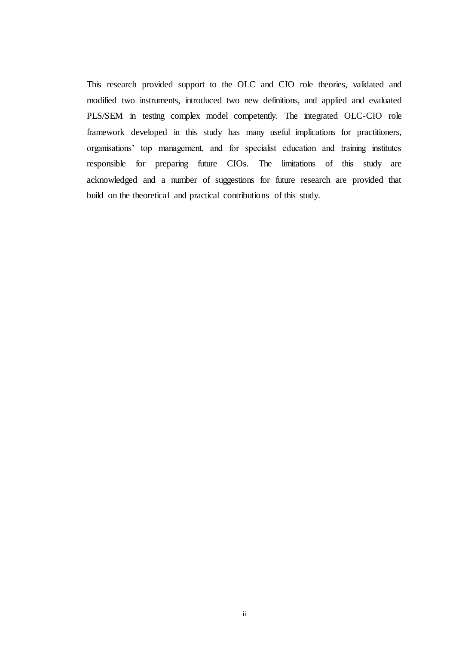This research provided support to the OLC and CIO role theories, validated and modified two instruments, introduced two new definitions, and applied and evaluated PLS/SEM in testing complex model competently. The integrated OLC-CIO role framework developed in this study has many useful implications for practitioners, organisations' top management, and for specialist education and training institutes responsible for preparing future CIOs. The limitations of this study are acknowledged and a number of suggestions for future research are provided that build on the theoretical and practical contributions of this study.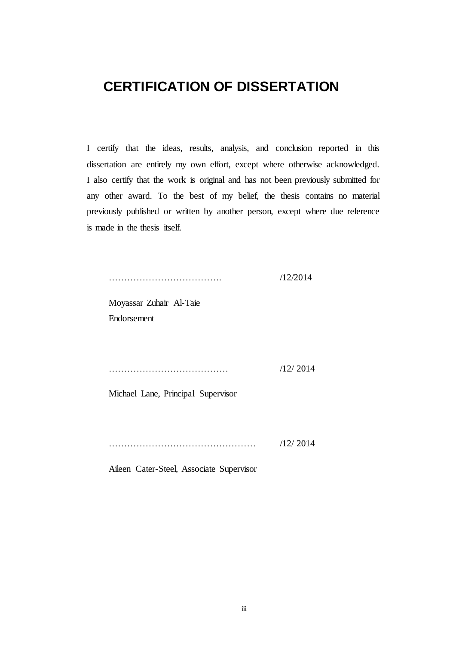#### <span id="page-3-0"></span>**CERTIFICATION OF DISSERTATION**

I certify that the ideas, results, analysis, and conclusion reported in this dissertation are entirely my own effort, except where otherwise acknowledged. I also certify that the work is original and has not been previously submitted for any other award. To the best of my belief, the thesis contains no material previously published or written by another person, except where due reference is made in the thesis itself.

………………………………. /12/2014

Moyassar Zuhair Al-Taie Endorsement

………………………………… /12/ 2014

Michael Lane, Principal Supervisor

………………………………………… /12/ 2014

Aileen Cater-Steel, Associate Supervisor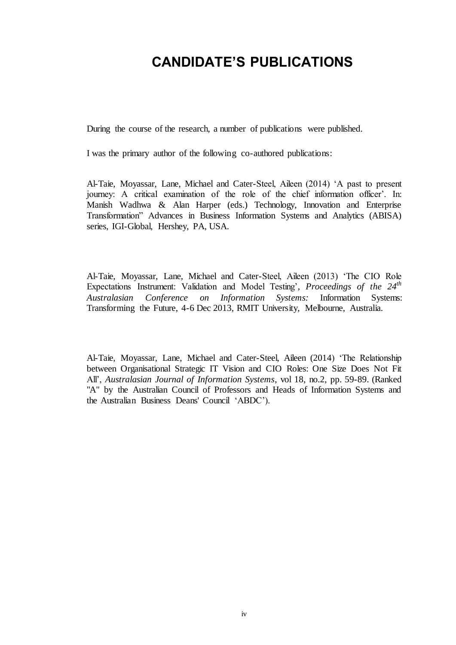### <span id="page-4-0"></span>**CANDIDATE'S PUBLICATIONS**

During the course of the research, a number of publications were published.

I was the primary author of the following co-authored publications:

Al-Taie, Moyassar, Lane, Michael and Cater-Steel, Aileen (2014) 'A past to present journey: A critical examination of the role of the chief information officer'. In: Manish Wadhwa & Alan Harper (eds.) Technology, Innovation and Enterprise Transformation" Advances in Business Information Systems and Analytics (ABISA) series, IGI-Global, Hershey, PA, USA.

Al-Taie, Moyassar, Lane, Michael and Cater-Steel, Aileen (2013) 'The CIO Role Expectations Instrument: Validation and Model Testing', Proceedings of the 24<sup>th</sup> *Australasian Conference on Information Systems:* Information Systems: Transforming the Future, 4-6 Dec 2013, RMIT University, Melbourne, Australia.

Al-Taie, Moyassar, Lane, Michael and Cater-Steel, Aileen (2014) 'The Relationship between Organisational Strategic IT Vision and CIO Roles: One Size Does Not Fit All', *Australasian Journal of Information Systems*, vol 18, no.2, pp. 59-89. (Ranked "A" by the Australian Council of Professors and Heads of Information Systems and the [Australian Business Deans' Council](http://www.abdc.edu.au/journalreview.html) 'ABDC').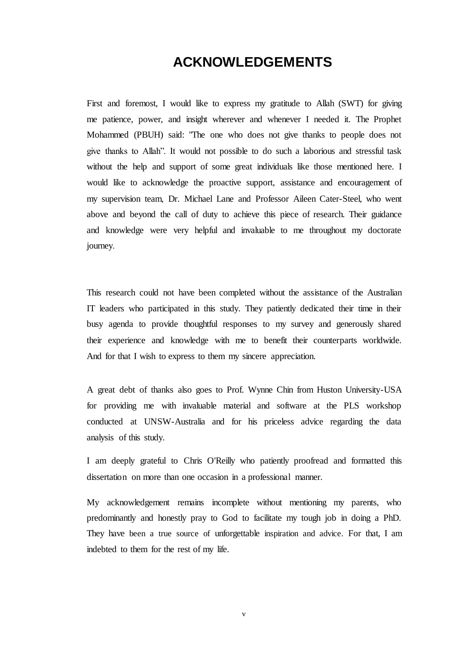#### **ACKNOWLEDGEMENTS**

<span id="page-5-0"></span>First and foremost, I would like to express my gratitude to Allah (SWT) for giving me patience, power, and insight wherever and whenever I needed it. The Prophet Mohammed (PBUH) said: "The one who does not give thanks to people does not give thanks to Allah". It would not possible to do such a laborious and stressful task without the help and support of some great individuals like those mentioned here. I would like to acknowledge the proactive support, assistance and encouragement of my supervision team, Dr. Michael Lane and Professor Aileen Cater-Steel, who went above and beyond the call of duty to achieve this piece of research. Their guidance and knowledge were very helpful and invaluable to me throughout my doctorate journey.

This research could not have been completed without the assistance of the Australian IT leaders who participated in this study. They patiently dedicated their time in their busy agenda to provide thoughtful responses to my survey and generously shared their experience and knowledge with me to benefit their counterparts worldwide. And for that I wish to express to them my sincere appreciation.

A great debt of thanks also goes to Prof. Wynne Chin from Huston University-USA for providing me with invaluable material and software at the PLS workshop conducted at UNSW-Australia and for his priceless advice regarding the data analysis of this study.

I am deeply grateful to Chris O'Reilly who patiently proofread and formatted this dissertation on more than one occasion in a professional manner.

My acknowledgement remains incomplete without mentioning my parents, who predominantly and honestly pray to God to facilitate my tough job in doing a PhD. They have been a true source of unforgettable inspiration and advice. For that, I am indebted to them for the rest of my life.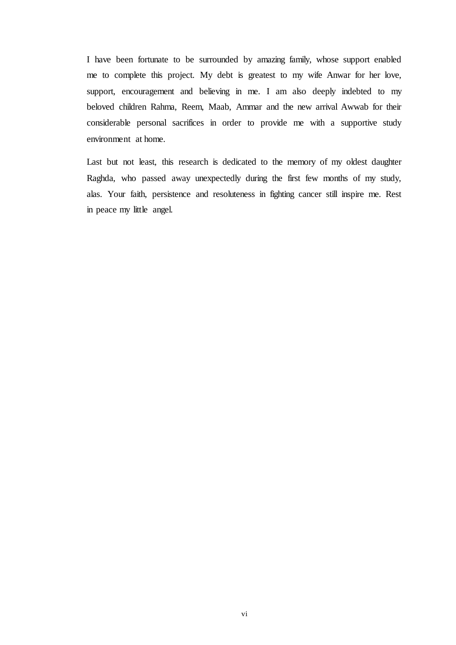I have been fortunate to be surrounded by amazing family, whose support enabled me to complete this project. My debt is greatest to my wife Anwar for her love, support, encouragement and believing in me. I am also deeply indebted to my beloved children Rahma, Reem, Maab, Ammar and the new arrival Awwab for their considerable personal sacrifices in order to provide me with a supportive study environment at home.

Last but not least, this research is dedicated to the memory of my oldest daughter Raghda, who passed away unexpectedly during the first few months of my study, alas. Your faith, persistence and resoluteness in fighting cancer still inspire me. Rest in peace my little angel.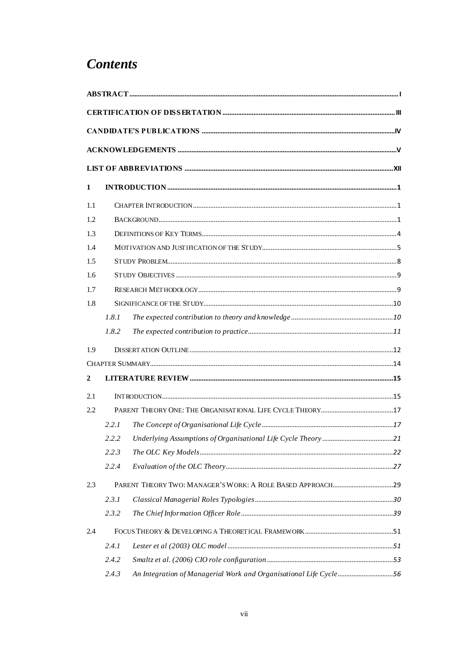### **Contents**

| 1              |       |                                                                   |  |
|----------------|-------|-------------------------------------------------------------------|--|
| 1.1            |       |                                                                   |  |
| 1.2            |       |                                                                   |  |
| 1.3            |       |                                                                   |  |
| 1.4            |       |                                                                   |  |
| 1.5            |       |                                                                   |  |
| 1.6            |       |                                                                   |  |
| 1.7            |       |                                                                   |  |
| 1.8            |       |                                                                   |  |
|                | 1.8.1 |                                                                   |  |
|                | 1.8.2 |                                                                   |  |
| 1.9            |       |                                                                   |  |
|                |       |                                                                   |  |
| $\overline{2}$ |       |                                                                   |  |
| 2.1            |       |                                                                   |  |
| 2.2            |       |                                                                   |  |
|                | 2.2.1 |                                                                   |  |
|                | 2.2.2 |                                                                   |  |
|                | 2.2.3 |                                                                   |  |
|                | 2.2.4 |                                                                   |  |
| 2.3            |       |                                                                   |  |
|                | 2.3.1 |                                                                   |  |
|                | 2.3.2 |                                                                   |  |
| 2.4            |       |                                                                   |  |
|                | 2.4.1 |                                                                   |  |
|                | 2.4.2 |                                                                   |  |
|                | 2.4.3 | An Integration of Managerial Work and Organisational Life Cycle56 |  |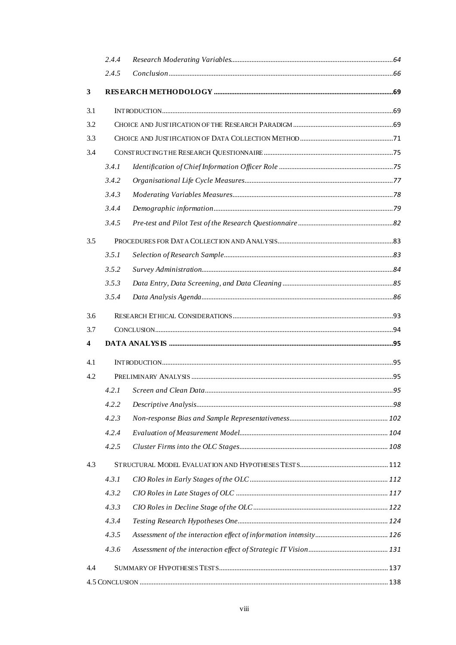|              | 2.4.4 |  |  |
|--------------|-------|--|--|
|              | 2.4.5 |  |  |
| $\mathbf{3}$ |       |  |  |
| 3.1          |       |  |  |
| 3.2          |       |  |  |
| 3.3          |       |  |  |
| 3.4          |       |  |  |
|              | 3.4.1 |  |  |
|              | 3.4.2 |  |  |
|              | 3.4.3 |  |  |
|              | 3.4.4 |  |  |
|              | 3.4.5 |  |  |
| 3.5          |       |  |  |
|              | 3.5.1 |  |  |
|              | 3.5.2 |  |  |
|              | 3.5.3 |  |  |
|              | 3.5.4 |  |  |
| 3.6          |       |  |  |
| 3.7          |       |  |  |
| 4            |       |  |  |
| 4.1          |       |  |  |
| 4.2          |       |  |  |
|              | 4.2.1 |  |  |
|              | 4.2.2 |  |  |
|              | 4.2.3 |  |  |
|              | 4.2.4 |  |  |
|              | 4.2.5 |  |  |
| 4.3          |       |  |  |
|              | 4.3.1 |  |  |
|              | 4.3.2 |  |  |
|              | 4.3.3 |  |  |
|              | 4.3.4 |  |  |
|              | 4.3.5 |  |  |
|              | 4.3.6 |  |  |
| 4.4          |       |  |  |
|              |       |  |  |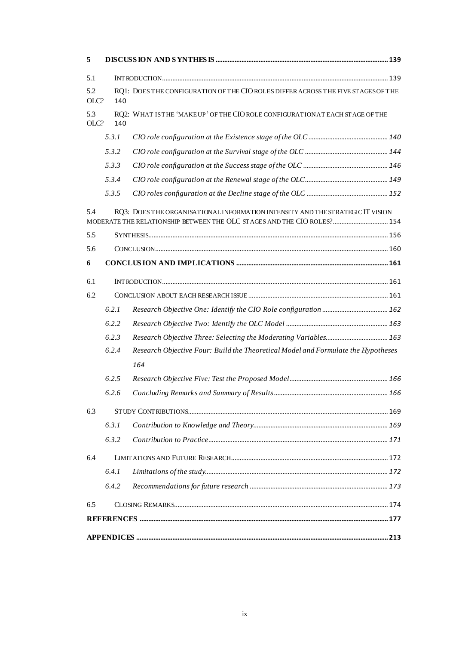| 5           |       |                                                                                                                                                           |  |
|-------------|-------|-----------------------------------------------------------------------------------------------------------------------------------------------------------|--|
| 5.1         |       |                                                                                                                                                           |  |
| 5.2<br>OLC? | 140   | RQ1: DOES THE CONFIGURATION OF THE CIO ROLES DIFFER ACROSS THE FIVE ST AGES OF THE                                                                        |  |
| 5.3<br>OLC? | 140   | RQ2: WHAT ISTHE 'MAKEUP' OF THE CIO ROLE CONFIGURATION AT EACH STAGE OF THE                                                                               |  |
|             | 5.3.1 |                                                                                                                                                           |  |
|             | 5.3.2 |                                                                                                                                                           |  |
|             | 5.3.3 |                                                                                                                                                           |  |
|             | 5.3.4 |                                                                                                                                                           |  |
|             | 5.3.5 |                                                                                                                                                           |  |
| 5.4         |       | RQ3: DOES THE ORGANISATIONAL INFORMATION INTENSITY AND THE STRATEGIC IT VISION<br>MODERATE THE RELATIONSHIP BETWEEN THE OLC STAGES AND THE CIO ROLES? 154 |  |
| 5.5         |       |                                                                                                                                                           |  |
| 5.6         |       |                                                                                                                                                           |  |
| 6           |       |                                                                                                                                                           |  |
| 6.1         |       |                                                                                                                                                           |  |
| 6.2         |       |                                                                                                                                                           |  |
|             | 6.2.1 |                                                                                                                                                           |  |
|             | 6.2.2 |                                                                                                                                                           |  |
|             | 6.2.3 |                                                                                                                                                           |  |
|             | 6.2.4 | Research Objective Four: Build the Theoretical Model and Formulate the Hypotheses                                                                         |  |
|             |       | 164                                                                                                                                                       |  |
|             | 6.2.5 |                                                                                                                                                           |  |
|             | 6.2.6 |                                                                                                                                                           |  |
| 6.3         |       |                                                                                                                                                           |  |
|             | 6.3.1 |                                                                                                                                                           |  |
|             | 6.3.2 |                                                                                                                                                           |  |
| 6.4         |       |                                                                                                                                                           |  |
|             | 6.4.1 |                                                                                                                                                           |  |
|             | 6.4.2 |                                                                                                                                                           |  |
| 6.5         |       |                                                                                                                                                           |  |
|             |       |                                                                                                                                                           |  |
|             |       |                                                                                                                                                           |  |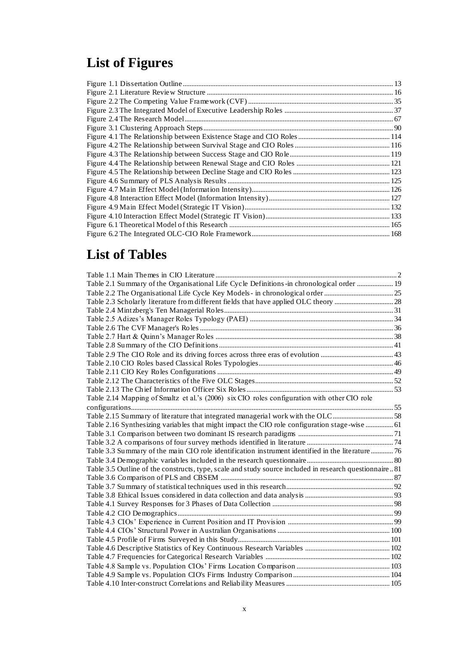# **List of Figures**

## **List of Tables**

| Table 2.1 Summary of the Organisational Life Cycle Definitions -in chronological order  19              |  |
|---------------------------------------------------------------------------------------------------------|--|
|                                                                                                         |  |
|                                                                                                         |  |
|                                                                                                         |  |
|                                                                                                         |  |
|                                                                                                         |  |
|                                                                                                         |  |
|                                                                                                         |  |
|                                                                                                         |  |
|                                                                                                         |  |
|                                                                                                         |  |
|                                                                                                         |  |
|                                                                                                         |  |
| Table 2.14 Mapping of Smaltz et al.'s (2006) six CIO roles configuration with other CIO role            |  |
|                                                                                                         |  |
|                                                                                                         |  |
| Table 2.16 Synthesizing variables that might impact the CIO role configuration stage-wise  61           |  |
|                                                                                                         |  |
|                                                                                                         |  |
| Table 3.3 Summary of the main CIO role identification instrument identified in the literature 76        |  |
|                                                                                                         |  |
| Table 3.5 Outline of the constructs, type, scale and study source included in research questionnaire 81 |  |
|                                                                                                         |  |
|                                                                                                         |  |
|                                                                                                         |  |
|                                                                                                         |  |
|                                                                                                         |  |
|                                                                                                         |  |
|                                                                                                         |  |
|                                                                                                         |  |
|                                                                                                         |  |
|                                                                                                         |  |
|                                                                                                         |  |
|                                                                                                         |  |
|                                                                                                         |  |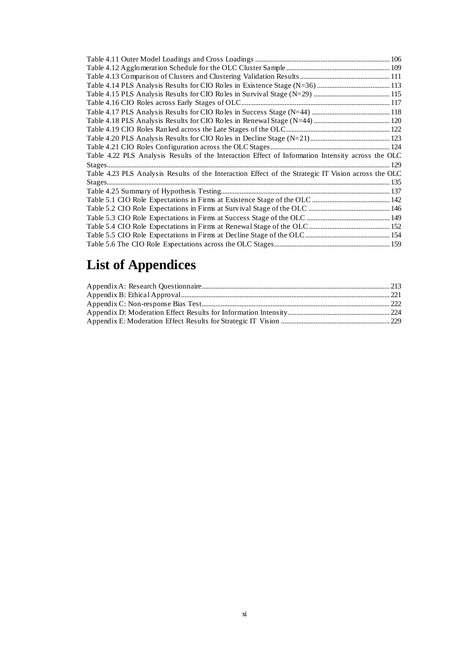| Table 4.22 PLS Analysis Results of the Interaction Effect of Information Intensity across the OLC   |  |
|-----------------------------------------------------------------------------------------------------|--|
|                                                                                                     |  |
| Table 4.23 PLS Analysis Results of the Interaction Effect of the Strategic IT Vision across the OLC |  |
|                                                                                                     |  |
|                                                                                                     |  |
|                                                                                                     |  |
|                                                                                                     |  |
|                                                                                                     |  |
|                                                                                                     |  |
|                                                                                                     |  |
|                                                                                                     |  |

# **List of Appendices**